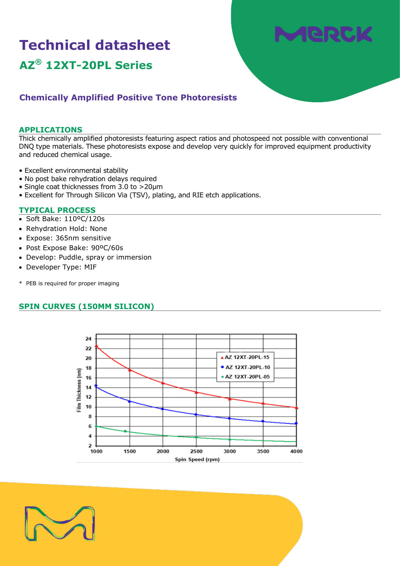# **Technical datasheet AZ® 12XT-20PL Series**



# **Chemically Amplified Positive Tone Photoresists**

#### **APPLICATIONS**

Thick chemically amplified photoresists featuring aspect ratios and photospeed not possible with conventional DNQ type materials. These photoresists expose and develop very quickly for improved equipment productivity and reduced chemical usage.

- Excellent environmental stability
- No post bake rehydration delays required
- Single coat thicknesses from 3.0 to >20µm
- Excellent for Through Silicon Via (TSV), plating, and RIE etch applications.

#### **TYPICAL PROCESS**

- Soft Bake: 110ºC/120s
- Rehydration Hold: None
- Expose: 365nm sensitive
- Post Expose Bake: 90ºC/60s
- Develop: Puddle, spray or immersion
- Developer Type: MIF
- \* PEB is required for proper imaging

# **SPIN CURVES (150MM SILICON)**



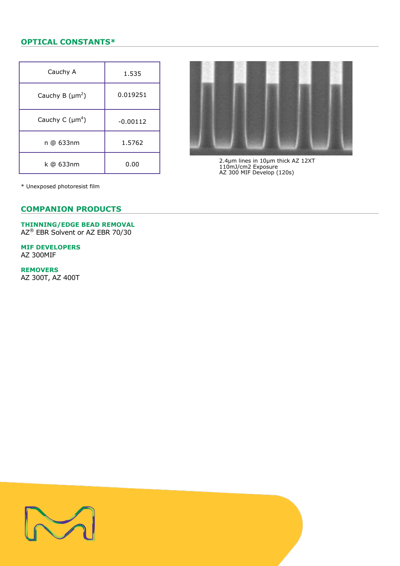# **OPTICAL CONSTANTS\***

| Cauchy A             | 1.535      |
|----------------------|------------|
| Cauchy B $(\mu m^2)$ | 0.019251   |
| Cauchy C $(\mu m^4)$ | $-0.00112$ |
| n @ 633nm            | 1.5762     |
| k @ 633nm            | 0.00       |



2.4µm lines in 10µm thick AZ 12XT 110mJ/cm2 Exposure AZ 300 MIF Develop (120s)

\* Unexposed photoresist film

### **COMPANION PRODUCTS**

# **THINNING/EDGE BEAD REMOVAL**

AZ® EBR Solvent or AZ EBR 70/30

**MIF DEVELOPERS** AZ 300MIF

**REMOVERS**

AZ 300T, AZ 400T

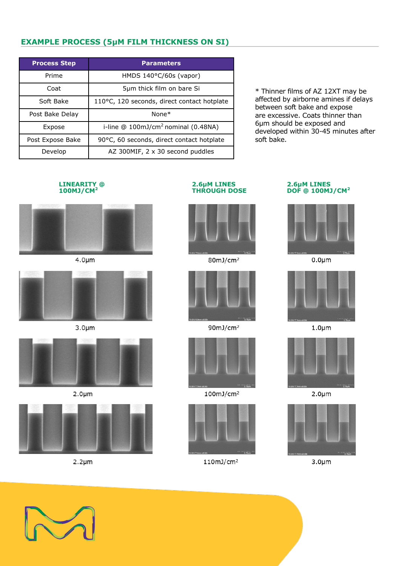# **EXAMPLE PROCESS (5µM FILM THICKNESS ON SI)**

| <b>Process Step</b> | <b>Parameters</b>                             |
|---------------------|-----------------------------------------------|
| Prime               | HMDS $140^{\circ}$ C/60s (vapor)              |
| Coat                | 5µm thick film on bare Si                     |
| Soft Bake           | 110°C, 120 seconds, direct contact hotplate   |
| Post Bake Delay     | $None*$                                       |
| Expose              | i-line $@100 \text{mJ/cm}^2$ nominal (0.48NA) |
| Post Expose Bake    | 90°C, 60 seconds, direct contact hotplate     |
| Develop             | AZ 300MIF, $2 \times 30$ second puddles       |

\* Thinner films of AZ 12XT may be affected by airborne amines if delays between soft bake and expose are excessive. Coats thinner than 6µm should be exposed and developed within 30-45 minutes after soft bake.



 $4.0 \mu m$ 



 $3.0 \mu m$ 







 $2.2 \mu m$ 

# **LINEARITY @ 2.6µM LINES 2.6µM LINES**



 $80mJ/cm<sup>2</sup>$ 



 $90mJ/cm<sup>2</sup>$ 



 $100mJ/cm<sup>2</sup>$ 



 $110mJ/cm<sup>2</sup>$ 

# $DOF @ 100MJ/CM<sup>2</sup>$



 $0.0 \mu m$ 



 $1.0<sub>µm</sub>$ 



 $2.0 \mu m$ 



 $3.0<sub>µm</sub>$ 

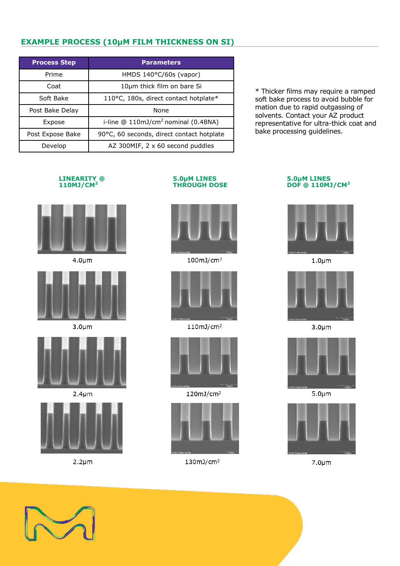# **EXAMPLE PROCESS (10µM FILM THICKNESS ON SI)**

| <b>Process Step</b> | <b>Parameters</b>                         |
|---------------------|-------------------------------------------|
| Prime               | HMDS $140^{\circ}$ C/60s (vapor)          |
| Coat                | 10µm thick film on bare Si                |
| Soft Bake           | 110°C, 180s, direct contact hotplate*     |
| Post Bake Delay     | None                                      |
| Expose              | i-line $@110mJ/cm2$ nominal (0.48NA)      |
| Post Expose Bake    | 90°C, 60 seconds, direct contact hotplate |
| Develop             | AZ 300MIF, 2 x 60 second puddles          |

\* Thicker films may require a ramped soft bake process to avoid bubble for mation due to rapid outgassing of solvents. Contact your AZ product representative for ultra-thick coat and bake processing guidelines.



 $4.0 \mu m$ 



 $3.0<sub>µ</sub>$ m



 $2.4 \mu m$ 



 $2.2 \mu m$ 





 $100mJ/cm<sup>2</sup>$ 



 $110mJ/cm<sup>2</sup>$ 



 $120mJ/cm<sup>2</sup>$ 



 $130mJ/cm<sup>2</sup>$ 

# **110MJ/CM<sup>2</sup> THROUGH DOSE DOF @ 110MJ/CM<sup>2</sup>**



 $1.0 \mu m$ 



 $3.0 \mu m$ 



 $5.0 \mu m$ 



 $7.0 \mu m$ 

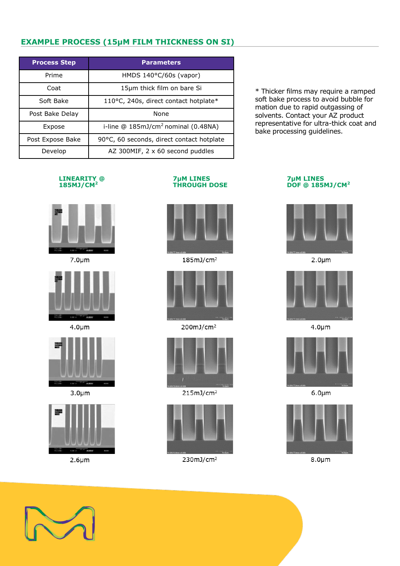# **EXAMPLE PROCESS (15µM FILM THICKNESS ON SI)**

| <b>Process Step</b> | <b>Parameters</b>                         |
|---------------------|-------------------------------------------|
| Prime               | HMDS $140^{\circ}$ C/60s (vapor)          |
| Coat                | 15µm thick film on bare Si                |
| Soft Bake           | 110°C, 240s, direct contact hotplate*     |
| Post Bake Delay     | None                                      |
| Expose              | i-line $@185mJ/cm2$ nominal (0.48NA)      |
| Post Expose Bake    | 90°C, 60 seconds, direct contact hotplate |
| Develop             | AZ 300MIF, 2 x 60 second puddles          |

\* Thicker films may require a ramped soft bake process to avoid bubble for mation due to rapid outgassing of solvents. Contact your AZ product representative for ultra-thick coat and bake processing guidelines.



 $7.0 \mu m$ 



 $4.0 \mu m$ 



 $3.0 \mu m$ 



 $2.6 \mu m$ 





 $185mJ/cm<sup>2</sup>$ 



200mJ/cm<sup>2</sup>



 $215mJ/cm<sup>2</sup>$ 



 $230mJ/cm<sup>2</sup>$ 

# **185MJ/CM**<sup>2</sup>



 $2.0 \mu m$ 



 $4.0 \mu m$ 



 $6.0 \mu m$ 



 $8.0 \mu m$ 

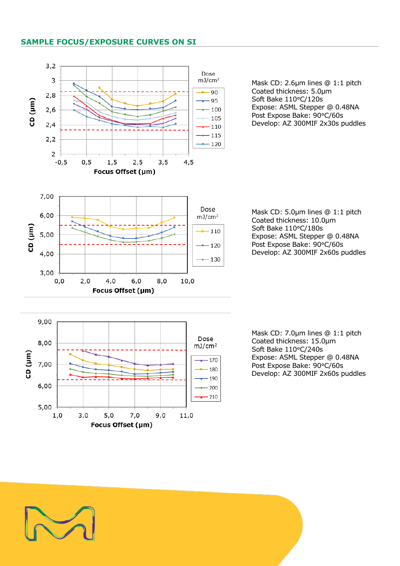## **SAMPLE FOCUS/EXPOSURE CURVES ON SI**



Mask CD: 2.6µm lines @ 1:1 pitch Coated thickness: 5.0µm Soft Bake 110°C/120s Expose: ASML Stepper @ 0.48NA Post Expose Bake: 90°C/60s Develop: AZ 300MIF 2x30s puddles

Mask CD: 5.0µm lines @ 1:1 pitch Coated thickness: 10.0µm Soft Bake 110°C/180s Expose: ASML Stepper @ 0.48NA Post Expose Bake: 90°C/60s Develop: AZ 300MIF 2x60s puddles

Mask CD: 7.0µm lines @ 1:1 pitch Coated thickness: 15.0µm Soft Bake 110°C/240s Expose: ASML Stepper @ 0.48NA Post Expose Bake: 90°C/60s Develop: AZ 300MIF 2x60s puddles

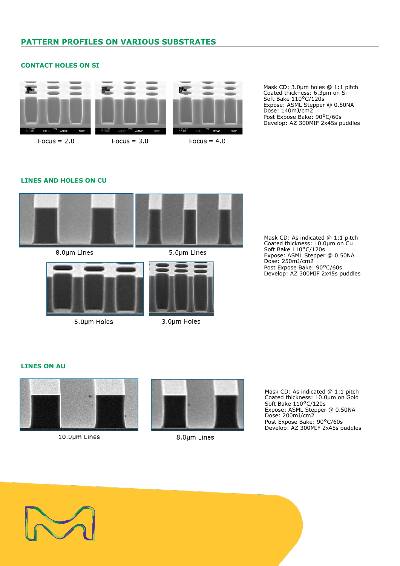# **PATTERN PROFILES ON VARIOUS SUBSTRATES**

#### **CONTACT HOLES ON SI**



 $Focus = 2.0$ 

 $Focus = 3.0$ 



Focus =  $4.0$ 

Mask CD: 3.0µm holes @ 1:1 pitch Coated thickness: 6.3µm on Si Soft Bake 110°C/120s Expose: ASML Stepper @ 0.50NA Dose: 140mJ/cm2 Post Expose Bake: 90°C/60s Develop: AZ 300MIF 2x45s puddles

#### **LINES AND HOLES ON CU**



8.0µm Lines

5.0µm Lines



5.0µm Holes



3.0µm Holes

Mask CD: As indicated @ 1:1 pitch Coated thickness: 10.0µm on Cu Soft Bake 110°C/120s Expose: ASML Stepper @ 0.50NA Dose: 250mJ/cm2 Post Expose Bake: 90°C/60s Develop: AZ 300MIF 2x45s puddles

# **LINES ON AU**



### 10.0µm Lines



8.0µm Lines

Mask CD: As indicated @ 1:1 pitch Coated thickness: 10.0µm on Gold Soft Bake 110°C/120s Expose: ASML Stepper @ 0.50NA Dose: 200mJ/cm2 Post Expose Bake: 90°C/60s Develop: AZ 300MIF 2x45s puddles

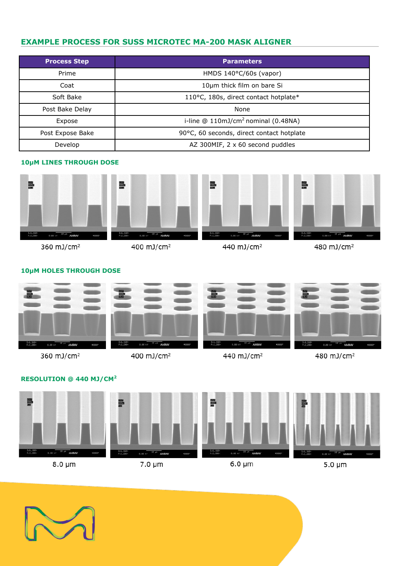# **EXAMPLE PROCESS FOR SUSS MICROTEC MA-200 MASK ALIGNER**

| <b>Process Step</b> | <b>Parameters</b>                         |
|---------------------|-------------------------------------------|
| Prime               | HMDS 140°C/60s (vapor)                    |
| Coat                | 10µm thick film on bare Si                |
| Soft Bake           | 110°C, 180s, direct contact hotplate*     |
| Post Bake Delay     | None                                      |
| Expose              | i-line $@110mJ/cm2$ nominal (0.48NA)      |
| Post Expose Bake    | 90°C, 60 seconds, direct contact hotplate |
| Develop             | AZ 300MIF, 2 x 60 second puddles          |

# **10µM LINES THROUGH DOSE**



# **10µM HOLES THROUGH DOSE**



### **RESOLUTION @ 440 MJ/CM<sup>2</sup>**





7.0 µm

 $6.0 \mu m$ 

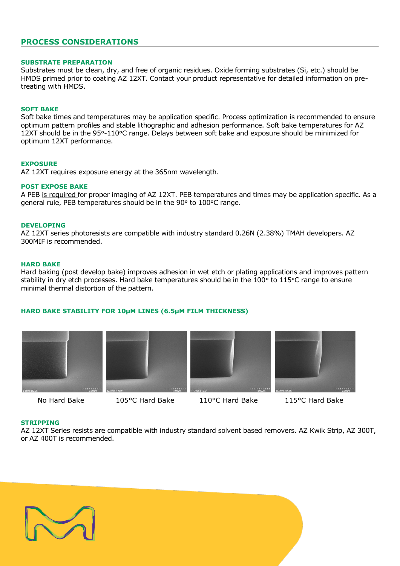### **PROCESS CONSIDERATIONS**

#### **SUBSTRATE PREPARATION**

Substrates must be clean, dry, and free of organic residues. Oxide forming substrates (Si, etc.) should be HMDS primed prior to coating AZ 12XT. Contact your product representative for detailed information on pretreating with HMDS.

#### **SOFT BAKE**

Soft bake times and temperatures may be application specific. Process optimization is recommended to ensure optimum pattern profiles and stable lithographic and adhesion performance. Soft bake temperatures for AZ 12XT should be in the 95°-110°C range. Delays between soft bake and exposure should be minimized for optimum 12XT performance.

#### **EXPOSURE**

AZ 12XT requires exposure energy at the 365nm wavelength.

#### **POST EXPOSE BAKE**

A PEB is required for proper imaging of AZ 12XT. PEB temperatures and times may be application specific. As a general rule, PEB temperatures should be in the 90° to 100°C range.

#### **DEVELOPING**

AZ 12XT series photoresists are compatible with industry standard 0.26N (2.38%) TMAH developers. AZ 300MIF is recommended.

#### **HARD BAKE**

Hard baking (post develop bake) improves adhesion in wet etch or plating applications and improves pattern stability in dry etch processes. Hard bake temperatures should be in the 100° to 115°C range to ensure minimal thermal distortion of the pattern.

#### **HARD BAKE STABILITY FOR 10µM LINES (6.5µM FILM THICKNESS)**









No Hard Bake 105°C Hard Bake 110°C Hard Bake 115°C Hard Bake

#### **STRIPPING**

AZ 12XT Series resists are compatible with industry standard solvent based removers. AZ Kwik Strip, AZ 300T, or AZ 400T is recommended.